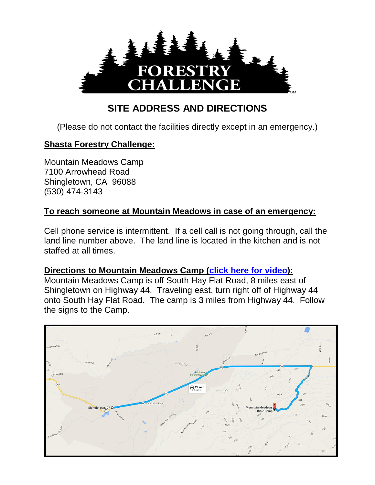

# **SITE ADDRESS AND DIRECTIONS**

(Please do not contact the facilities directly except in an emergency.)

## **Shasta Forestry Challenge:**

Mountain Meadows Camp 7100 Arrowhead Road Shingletown, CA 96088 (530) 474-3143

## **To reach someone at Mountain Meadows in case of an emergency:**

Cell phone service is intermittent. If a cell call is not going through, call the land line number above. The land line is located in the kitchen and is not staffed at all times.

#### **Directions to Mountain Meadows Camp [\(click here for video\)](https://youtu.be/iVG5CSKzQC4):**

Mountain Meadows Camp is off South Hay Flat Road, 8 miles east of Shingletown on Highway 44. Traveling east, turn right off of Highway 44 onto South Hay Flat Road. The camp is 3 miles from Highway 44. Follow the signs to the Camp.